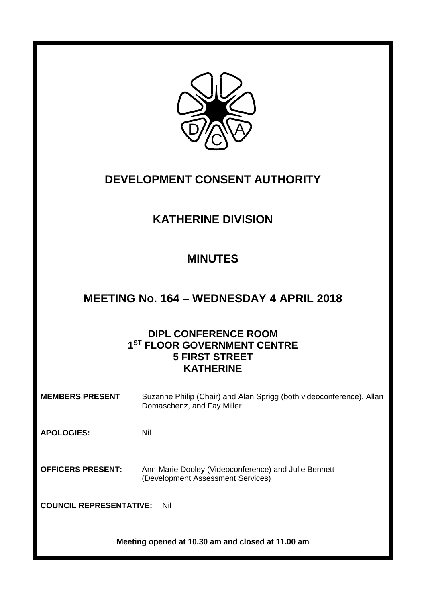

# **DEVELOPMENT CONSENT AUTHORITY**

# **KATHERINE DIVISION**

# **MINUTES**

## **MEETING No. 164 – WEDNESDAY 4 APRIL 2018**

### **DIPL CONFERENCE ROOM 1 ST FLOOR GOVERNMENT CENTRE 5 FIRST STREET KATHERINE**

| <b>MEMBERS PRESENT</b>                            | Suzanne Philip (Chair) and Alan Sprigg (both videoconference), Allan<br>Domaschenz, and Fay Miller |
|---------------------------------------------------|----------------------------------------------------------------------------------------------------|
| <b>APOLOGIES:</b>                                 | Nil                                                                                                |
| <b>OFFICERS PRESENT:</b>                          | Ann-Marie Dooley (Videoconference) and Julie Bennett<br>(Development Assessment Services)          |
| <b>COUNCIL REPRESENTATIVE:</b><br>Nil             |                                                                                                    |
| Meeting opened at 10.30 am and closed at 11.00 am |                                                                                                    |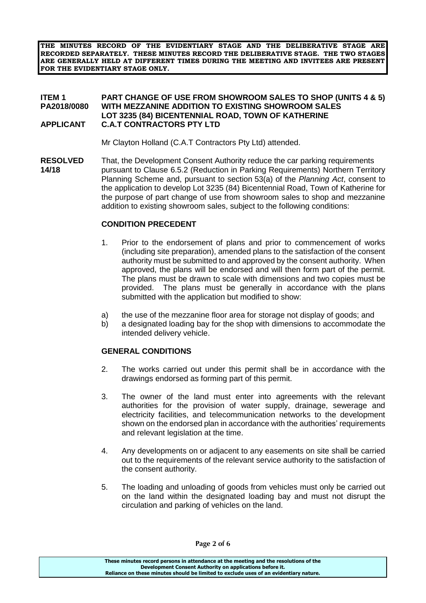**THE MINUTES RECORD OF THE EVIDENTIARY STAGE AND THE DELIBERATIVE STAGE ARE RECORDED SEPARATELY. THESE MINUTES RECORD THE DELIBERATIVE STAGE. THE TWO STAGES ARE GENERALLY HELD AT DIFFERENT TIMES DURING THE MEETING AND INVITEES ARE PRESENT FOR THE EVIDENTIARY STAGE ONLY.**

#### **ITEM 1 PART CHANGE OF USE FROM SHOWROOM SALES TO SHOP (UNITS 4 & 5) WITH MEZZANINE ADDITION TO EXISTING SHOWROOM SALES LOT 3235 (84) BICENTENNIAL ROAD, TOWN OF KATHERINE APPLICANT C.A.T CONTRACTORS PTY LTD**

Mr Clayton Holland (C.A.T Contractors Pty Ltd) attended.

**RESOLVED** That, the Development Consent Authority reduce the car parking requirements **14/18** pursuant to Clause 6.5.2 (Reduction in Parking Requirements) Northern Territory Planning Scheme and, pursuant to section 53(a) of the *Planning Act*, consent to the application to develop Lot 3235 (84) Bicentennial Road, Town of Katherine for the purpose of part change of use from showroom sales to shop and mezzanine addition to existing showroom sales, subject to the following conditions:

#### **CONDITION PRECEDENT**

- 1. Prior to the endorsement of plans and prior to commencement of works (including site preparation), amended plans to the satisfaction of the consent authority must be submitted to and approved by the consent authority. When approved, the plans will be endorsed and will then form part of the permit. The plans must be drawn to scale with dimensions and two copies must be provided. The plans must be generally in accordance with the plans submitted with the application but modified to show:
- a) the use of the mezzanine floor area for storage not display of goods; and
- b) a designated loading bay for the shop with dimensions to accommodate the intended delivery vehicle.

#### **GENERAL CONDITIONS**

- 2. The works carried out under this permit shall be in accordance with the drawings endorsed as forming part of this permit.
- 3. The owner of the land must enter into agreements with the relevant authorities for the provision of water supply, drainage, sewerage and electricity facilities, and telecommunication networks to the development shown on the endorsed plan in accordance with the authorities' requirements and relevant legislation at the time.
- 4. Any developments on or adjacent to any easements on site shall be carried out to the requirements of the relevant service authority to the satisfaction of the consent authority.
- 5. The loading and unloading of goods from vehicles must only be carried out on the land within the designated loading bay and must not disrupt the circulation and parking of vehicles on the land.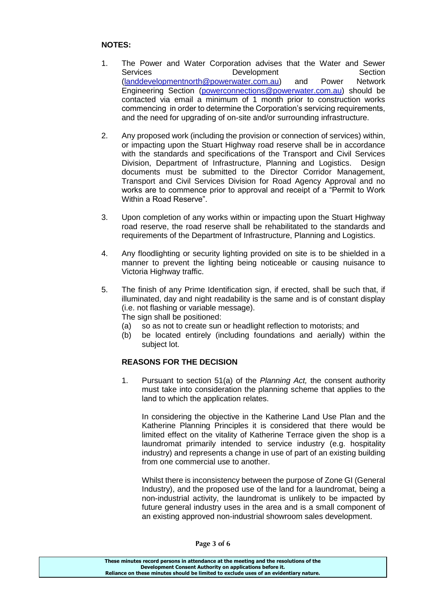### **NOTES:**

- 1. The Power and Water Corporation advises that the Water and Sewer Services **Development** Section [\(landdevelopmentnorth@powerwater.com.au\)](mailto:landdevelopmentnorth@powerwater.com.au) and Power Network Engineering Section [\(powerconnections@powerwater.com.au\)](mailto:powerconnections@powerwater.com.au) should be contacted via email a minimum of 1 month prior to construction works commencing in order to determine the Corporation's servicing requirements, and the need for upgrading of on-site and/or surrounding infrastructure.
- 2. Any proposed work (including the provision or connection of services) within, or impacting upon the Stuart Highway road reserve shall be in accordance with the standards and specifications of the Transport and Civil Services Division, Department of Infrastructure, Planning and Logistics. Design documents must be submitted to the Director Corridor Management, Transport and Civil Services Division for Road Agency Approval and no works are to commence prior to approval and receipt of a "Permit to Work Within a Road Reserve".
- 3. Upon completion of any works within or impacting upon the Stuart Highway road reserve, the road reserve shall be rehabilitated to the standards and requirements of the Department of Infrastructure, Planning and Logistics.
- 4. Any floodlighting or security lighting provided on site is to be shielded in a manner to prevent the lighting being noticeable or causing nuisance to Victoria Highway traffic.
- 5. The finish of any Prime Identification sign, if erected, shall be such that, if illuminated, day and night readability is the same and is of constant display (i.e. not flashing or variable message).

The sign shall be positioned:

- (a) so as not to create sun or headlight reflection to motorists; and
- (b) be located entirely (including foundations and aerially) within the subject lot.

### **REASONS FOR THE DECISION**

1. Pursuant to section 51(a) of the *Planning Act,* the consent authority must take into consideration the planning scheme that applies to the land to which the application relates.

In considering the objective in the Katherine Land Use Plan and the Katherine Planning Principles it is considered that there would be limited effect on the vitality of Katherine Terrace given the shop is a laundromat primarily intended to service industry (e.g. hospitality industry) and represents a change in use of part of an existing building from one commercial use to another.

Whilst there is inconsistency between the purpose of Zone GI (General Industry), and the proposed use of the land for a laundromat, being a non-industrial activity, the laundromat is unlikely to be impacted by future general industry uses in the area and is a small component of an existing approved non-industrial showroom sales development.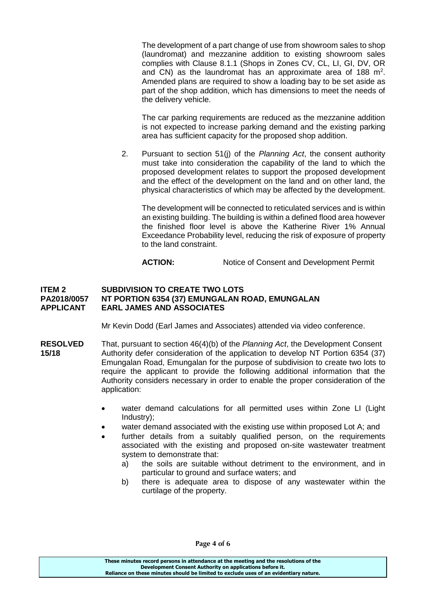The development of a part change of use from showroom sales to shop (laundromat) and mezzanine addition to existing showroom sales complies with Clause 8.1.1 (Shops in Zones CV, CL, LI, GI, DV, OR and CN) as the laundromat has an approximate area of 188  $m^2$ . Amended plans are required to show a loading bay to be set aside as part of the shop addition, which has dimensions to meet the needs of the delivery vehicle.

The car parking requirements are reduced as the mezzanine addition is not expected to increase parking demand and the existing parking area has sufficient capacity for the proposed shop addition.

2. Pursuant to section 51(j) of the *Planning Act*, the consent authority must take into consideration the capability of the land to which the proposed development relates to support the proposed development and the effect of the development on the land and on other land, the physical characteristics of which may be affected by the development.

The development will be connected to reticulated services and is within an existing building. The building is within a defined flood area however the finished floor level is above the Katherine River 1% Annual Exceedance Probability level, reducing the risk of exposure of property to the land constraint.

ACTION: Notice of Consent and Development Permit

#### **ITEM 2 SUBDIVISION TO CREATE TWO LOTS PA2018/0057 NT PORTION 6354 (37) EMUNGALAN ROAD, EMUNGALAN APPLICANT EARL JAMES AND ASSOCIATES**

Mr Kevin Dodd (Earl James and Associates) attended via video conference.

- **RESOLVED** That, pursuant to section 46(4)(b) of the *Planning Act*, the Development Consent **15/18** Authority defer consideration of the application to develop NT Portion 6354 (37) Emungalan Road, Emungalan for the purpose of subdivision to create two lots to require the applicant to provide the following additional information that the Authority considers necessary in order to enable the proper consideration of the application:
	- water demand calculations for all permitted uses within Zone LI (Light Industry);
	- water demand associated with the existing use within proposed Lot A; and
	- further details from a suitably qualified person, on the requirements associated with the existing and proposed on-site wastewater treatment system to demonstrate that:
		- a) the soils are suitable without detriment to the environment, and in particular to ground and surface waters; and
		- b) there is adequate area to dispose of any wastewater within the curtilage of the property.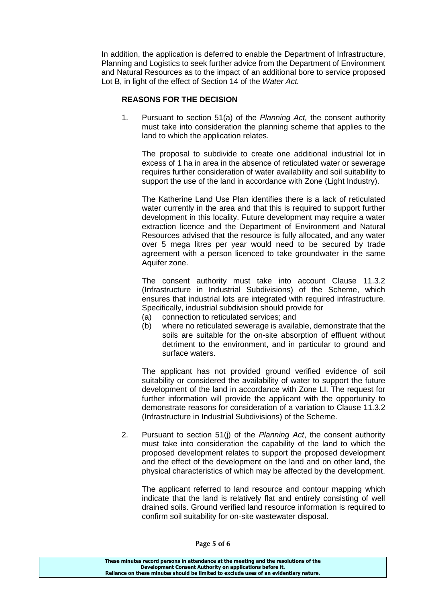In addition, the application is deferred to enable the Department of Infrastructure, Planning and Logistics to seek further advice from the Department of Environment and Natural Resources as to the impact of an additional bore to service proposed Lot B, in light of the effect of Section 14 of the *Water Act.*

### **REASONS FOR THE DECISION**

1. Pursuant to section 51(a) of the *Planning Act,* the consent authority must take into consideration the planning scheme that applies to the land to which the application relates.

The proposal to subdivide to create one additional industrial lot in excess of 1 ha in area in the absence of reticulated water or sewerage requires further consideration of water availability and soil suitability to support the use of the land in accordance with Zone (Light Industry).

The Katherine Land Use Plan identifies there is a lack of reticulated water currently in the area and that this is required to support further development in this locality. Future development may require a water extraction licence and the Department of Environment and Natural Resources advised that the resource is fully allocated, and any water over 5 mega litres per year would need to be secured by trade agreement with a person licenced to take groundwater in the same Aquifer zone.

The consent authority must take into account Clause 11.3.2 (Infrastructure in Industrial Subdivisions) of the Scheme, which ensures that industrial lots are integrated with required infrastructure. Specifically, industrial subdivision should provide for

- (a) connection to reticulated services; and
- (b) where no reticulated sewerage is available, demonstrate that the soils are suitable for the on-site absorption of effluent without detriment to the environment, and in particular to ground and surface waters.

The applicant has not provided ground verified evidence of soil suitability or considered the availability of water to support the future development of the land in accordance with Zone LI. The request for further information will provide the applicant with the opportunity to demonstrate reasons for consideration of a variation to Clause 11.3.2 (Infrastructure in Industrial Subdivisions) of the Scheme.

2. Pursuant to section 51(j) of the *Planning Act*, the consent authority must take into consideration the capability of the land to which the proposed development relates to support the proposed development and the effect of the development on the land and on other land, the physical characteristics of which may be affected by the development.

The applicant referred to land resource and contour mapping which indicate that the land is relatively flat and entirely consisting of well drained soils. Ground verified land resource information is required to confirm soil suitability for on-site wastewater disposal.